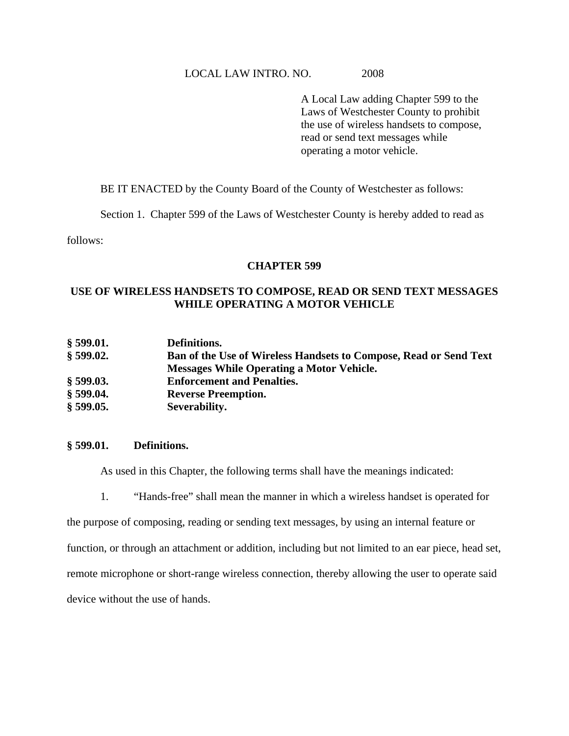A Local Law adding Chapter 599 to the Laws of Westchester County to prohibit the use of wireless handsets to compose, read or send text messages while operating a motor vehicle.

BE IT ENACTED by the County Board of the County of Westchester as follows:

Section 1. Chapter 599 of the Laws of Westchester County is hereby added to read as

follows:

### **CHAPTER 599**

## **USE OF WIRELESS HANDSETS TO COMPOSE, READ OR SEND TEXT MESSAGES WHILE OPERATING A MOTOR VEHICLE**

| § 599.01.   | Definitions.                                                             |
|-------------|--------------------------------------------------------------------------|
| $§$ 599.02. | <b>Ban of the Use of Wireless Handsets to Compose, Read or Send Text</b> |
|             | <b>Messages While Operating a Motor Vehicle.</b>                         |
| $§$ 599.03. | <b>Enforcement and Penalties.</b>                                        |
| $§$ 599.04. | <b>Reverse Preemption.</b>                                               |
| $§$ 599.05. | Severability.                                                            |

## **§ 599.01. Definitions.**

As used in this Chapter, the following terms shall have the meanings indicated:

1. "Hands-free" shall mean the manner in which a wireless handset is operated for

the purpose of composing, reading or sending text messages, by using an internal feature or function, or through an attachment or addition, including but not limited to an ear piece, head set, remote microphone or short-range wireless connection, thereby allowing the user to operate said device without the use of hands.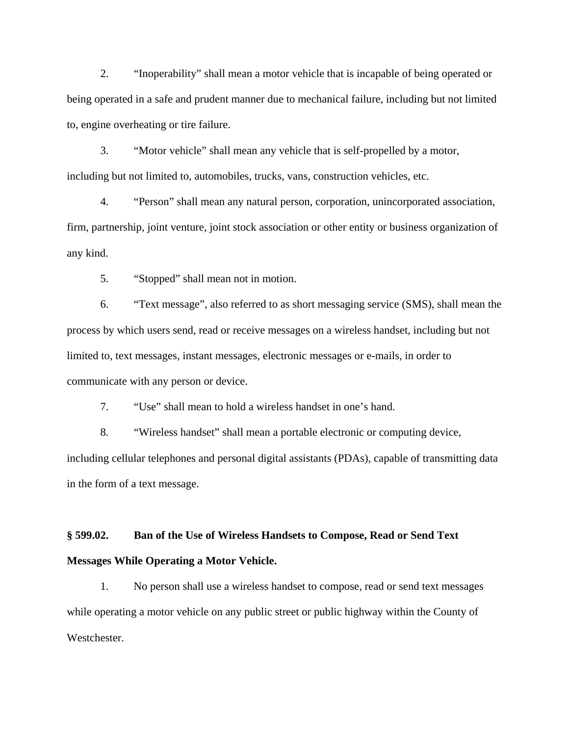2. "Inoperability" shall mean a motor vehicle that is incapable of being operated or being operated in a safe and prudent manner due to mechanical failure, including but not limited to, engine overheating or tire failure.

3. "Motor vehicle" shall mean any vehicle that is self-propelled by a motor, including but not limited to, automobiles, trucks, vans, construction vehicles, etc.

4. "Person" shall mean any natural person, corporation, unincorporated association, firm, partnership, joint venture, joint stock association or other entity or business organization of any kind.

5. "Stopped" shall mean not in motion.

6. "Text message", also referred to as short messaging service (SMS), shall mean the process by which users send, read or receive messages on a wireless handset, including but not limited to, text messages, instant messages, electronic messages or e-mails, in order to communicate with any person or device.

7. "Use" shall mean to hold a wireless handset in one's hand.

8. "Wireless handset" shall mean a portable electronic or computing device, including cellular telephones and personal digital assistants (PDAs), capable of transmitting data in the form of a text message.

# **§ 599.02. Ban of the Use of Wireless Handsets to Compose, Read or Send Text Messages While Operating a Motor Vehicle.**

1. No person shall use a wireless handset to compose, read or send text messages while operating a motor vehicle on any public street or public highway within the County of Westchester.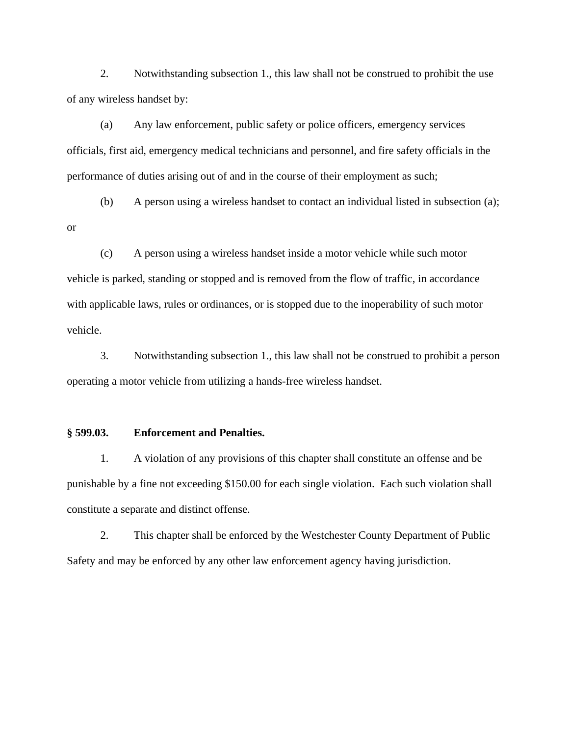2. Notwithstanding subsection 1., this law shall not be construed to prohibit the use of any wireless handset by:

(a) Any law enforcement, public safety or police officers, emergency services officials, first aid, emergency medical technicians and personnel, and fire safety officials in the performance of duties arising out of and in the course of their employment as such;

(b) A person using a wireless handset to contact an individual listed in subsection (a);

(c) A person using a wireless handset inside a motor vehicle while such motor vehicle is parked, standing or stopped and is removed from the flow of traffic, in accordance with applicable laws, rules or ordinances, or is stopped due to the inoperability of such motor vehicle.

3. Notwithstanding subsection 1., this law shall not be construed to prohibit a person operating a motor vehicle from utilizing a hands-free wireless handset.

#### **§ 599.03. Enforcement and Penalties.**

1. A violation of any provisions of this chapter shall constitute an offense and be punishable by a fine not exceeding \$150.00 for each single violation. Each such violation shall constitute a separate and distinct offense.

2. This chapter shall be enforced by the Westchester County Department of Public Safety and may be enforced by any other law enforcement agency having jurisdiction.

or